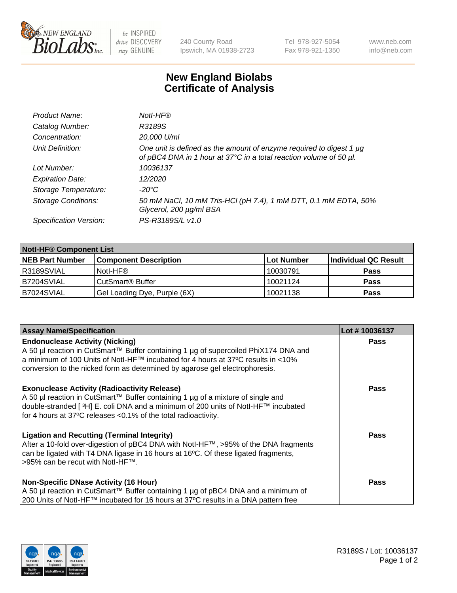

 $be$  INSPIRED drive DISCOVERY stay GENUINE

240 County Road Ipswich, MA 01938-2723 Tel 978-927-5054 Fax 978-921-1350 www.neb.com info@neb.com

## **New England Biolabs Certificate of Analysis**

| Product Name:              | Notl-HF®                                                                                                                                  |
|----------------------------|-------------------------------------------------------------------------------------------------------------------------------------------|
| Catalog Number:            | R3189S                                                                                                                                    |
| Concentration:             | 20,000 U/ml                                                                                                                               |
| Unit Definition:           | One unit is defined as the amount of enzyme required to digest 1 µg<br>of pBC4 DNA in 1 hour at 37°C in a total reaction volume of 50 µl. |
| Lot Number:                | 10036137                                                                                                                                  |
| <b>Expiration Date:</b>    | 12/2020                                                                                                                                   |
| Storage Temperature:       | $-20^{\circ}$ C                                                                                                                           |
| <b>Storage Conditions:</b> | 50 mM NaCl, 10 mM Tris-HCl (pH 7.4), 1 mM DTT, 0.1 mM EDTA, 50%<br>Glycerol, 200 µg/ml BSA                                                |
| Specification Version:     | PS-R3189S/L v1.0                                                                                                                          |

| <b>Notl-HF® Component List</b> |                              |            |                      |  |
|--------------------------------|------------------------------|------------|----------------------|--|
| <b>NEB Part Number</b>         | <b>Component Description</b> | Lot Number | Individual QC Result |  |
| R3189SVIAL                     | Notl-HF®                     | 10030791   | <b>Pass</b>          |  |
| IB7204SVIAL                    | CutSmart <sup>®</sup> Buffer | 10021124   | <b>Pass</b>          |  |
| B7024SVIAL                     | Gel Loading Dye, Purple (6X) | 10021138   | <b>Pass</b>          |  |

| <b>Assay Name/Specification</b>                                                                                                                                                                                                                                                                            | Lot #10036137 |
|------------------------------------------------------------------------------------------------------------------------------------------------------------------------------------------------------------------------------------------------------------------------------------------------------------|---------------|
| <b>Endonuclease Activity (Nicking)</b><br>  A 50 µl reaction in CutSmart™ Buffer containing 1 µg of supercoiled PhiX174 DNA and                                                                                                                                                                            | <b>Pass</b>   |
| a minimum of 100 Units of Notl-HF™ incubated for 4 hours at 37°C results in <10%<br>conversion to the nicked form as determined by agarose gel electrophoresis.                                                                                                                                            |               |
| <b>Exonuclease Activity (Radioactivity Release)</b><br>A 50 µl reaction in CutSmart™ Buffer containing 1 µg of a mixture of single and<br>double-stranded [ <sup>3</sup> H] E. coli DNA and a minimum of 200 units of Notl-HF™ incubated<br>for 4 hours at 37°C releases <0.1% of the total radioactivity. | <b>Pass</b>   |
| <b>Ligation and Recutting (Terminal Integrity)</b><br>After a 10-fold over-digestion of pBC4 DNA with Notl-HF™, >95% of the DNA fragments<br>can be ligated with T4 DNA ligase in 16 hours at 16 $\degree$ C. Of these ligated fragments,<br> >95% can be recut with NotI-HF™.                             | <b>Pass</b>   |
| Non-Specific DNase Activity (16 Hour)                                                                                                                                                                                                                                                                      | <b>Pass</b>   |
| A 50 µl reaction in CutSmart™ Buffer containing 1 µg of pBC4 DNA and a minimum of<br>200 Units of Notl-HF™ incubated for 16 hours at 37°C results in a DNA pattern free                                                                                                                                    |               |